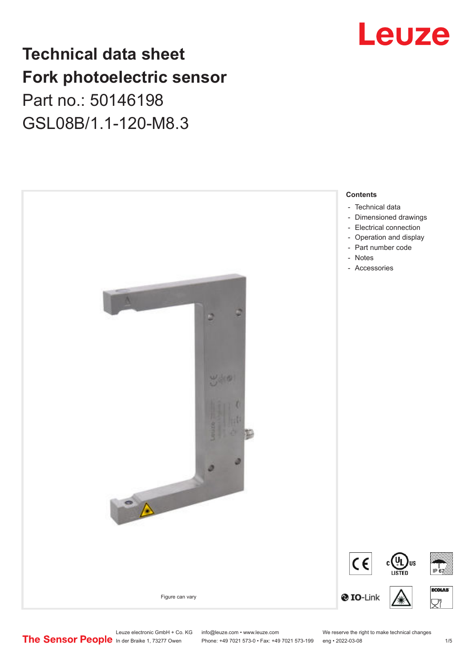## **Technical data sheet Fork photoelectric sensor** Part no.: 50146198 GSL08B/1.1-120-M8.3



# Leuze

Leuze electronic GmbH + Co. KG info@leuze.com • www.leuze.com We reserve the right to make technical changes<br>
The Sensor People in der Braike 1, 73277 Owen Phone: +49 7021 573-0 • Fax: +49 7021 573-199 eng • 2022-03-08

Phone: +49 7021 573-0 • Fax: +49 7021 573-199 eng • 2022-03-08 1 /5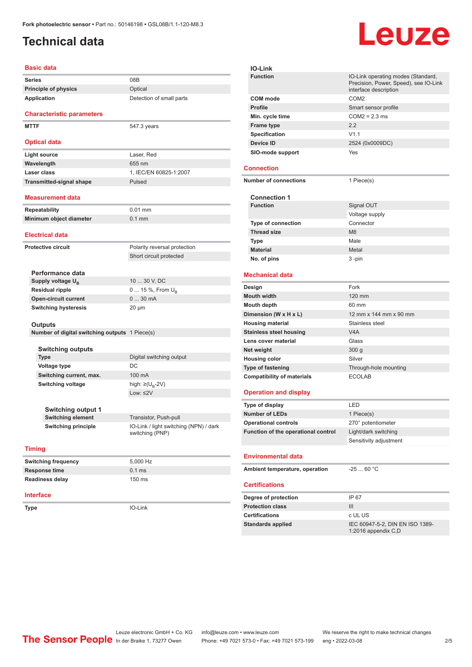## <span id="page-1-0"></span>**Technical data**

| Basic data                                             |                                                                 |  |
|--------------------------------------------------------|-----------------------------------------------------------------|--|
| <b>Series</b>                                          | 08B                                                             |  |
| <b>Principle of physics</b>                            | Optical                                                         |  |
| Application                                            | Detection of small parts                                        |  |
|                                                        |                                                                 |  |
| <b>Characteristic parameters</b>                       |                                                                 |  |
| <b>MTTF</b>                                            | 547.3 years                                                     |  |
|                                                        |                                                                 |  |
| <b>Optical data</b>                                    |                                                                 |  |
| <b>Light source</b>                                    | Laser, Red                                                      |  |
| Wavelength                                             | 655 nm                                                          |  |
| Laser class                                            | 1. IEC/EN 60825-1:2007                                          |  |
| <b>Transmitted-signal shape</b>                        | Pulsed                                                          |  |
| Measurement data                                       |                                                                 |  |
| Repeatability                                          | $0.01$ mm                                                       |  |
| Minimum object diameter                                | $0.1$ mm                                                        |  |
|                                                        |                                                                 |  |
| <b>Electrical data</b>                                 |                                                                 |  |
| Protective circuit                                     | Polarity reversal protection                                    |  |
|                                                        | Short circuit protected                                         |  |
|                                                        |                                                                 |  |
| Performance data                                       |                                                                 |  |
| Supply voltage U <sub>R</sub>                          | 10  30 V, DC                                                    |  |
| <b>Residual ripple</b>                                 | 0  15 %, From $U_{\rm B}$                                       |  |
| <b>Open-circuit current</b>                            | 030mA                                                           |  |
| <b>Switching hysteresis</b>                            | 20 µm                                                           |  |
| Outputs                                                |                                                                 |  |
| Number of digital switching outputs 1 Piece(s)         |                                                                 |  |
|                                                        |                                                                 |  |
| <b>Switching outputs</b>                               |                                                                 |  |
| Type                                                   | Digital switching output                                        |  |
| <b>Voltage type</b>                                    | DC                                                              |  |
| Switching current, max.                                | 100 mA                                                          |  |
| <b>Switching voltage</b>                               | high: $\geq (U_{B} - 2V)$                                       |  |
|                                                        | Low: $\leq$ 2V                                                  |  |
|                                                        |                                                                 |  |
| <b>Switching output 1</b>                              |                                                                 |  |
| <b>Switching element</b><br><b>Switching principle</b> | Transistor, Push-pull<br>IO-Link / light switching (NPN) / dark |  |
|                                                        | switching (PNP)                                                 |  |
|                                                        |                                                                 |  |
| <b>Timing</b>                                          |                                                                 |  |
| <b>Switching frequency</b>                             | 5,000 Hz                                                        |  |
| <b>Response time</b>                                   | $0.1$ ms                                                        |  |
| <b>Readiness delay</b>                                 | 150 ms                                                          |  |
|                                                        |                                                                 |  |
| <b>Interface</b>                                       |                                                                 |  |
| Type                                                   | IO-Link                                                         |  |
|                                                        |                                                                 |  |
|                                                        |                                                                 |  |

**IO-Link Function IO-Link operating modes (Standard,** Precision, Power, Speed), see IO-Link interface description **COM mode** COM2 **Profile** Smart sensor profile **Min. cycle time** COM2 = 2.3 ms **Frame type** 2.2 **Specification** V1.1 **Device ID** 2524 (0x0009DC) **SIO-mode support** Yes **Connection Number of connections** 1 Piece(s) **Connection 1 Signal OUT** Voltage supply **Type of connection Thread size** M8 **Type Male Material** Metal **No. of pins** 3 -pin **Mechanical data Design** Fork **Mouth width** 120 mm **Mouth depth** 60 mm **Dimension (W x H x L)** 12 mm x 144 mm x 90 mm **Housing material** Stainless steel **Stainless steel housing V4A Lens cover material Class Net weight** 300 g **Housing color** Silver **Type of fastening** Through-hole mounting **Compatibility of materials** ECOLAB **Operation and display Type of display** LED **Number of LEDs** 1 Piece(s) **Operational controls** 270° potentiometer **Function of the operational control** Light/dark switching Sensitivity adjustment **Environmental data** Ambient temperature, operation -25 ... 60 °C **Certifications Degree of protection** IP 67 **Protection class** III **Certifications** c UL US Standards applied<br>
IEC 60947-5-2, DIN EN ISO 1389-1:2016 appendix C,D

Leuze

Leuze electronic GmbH + Co. KG info@leuze.com • www.leuze.com We reserve the right to make technical changes<br>
The Sensor People in der Braike 1, 73277 Owen Phone: +49 7021 573-0 • Fax: +49 7021 573-199 eng • 2022-03-08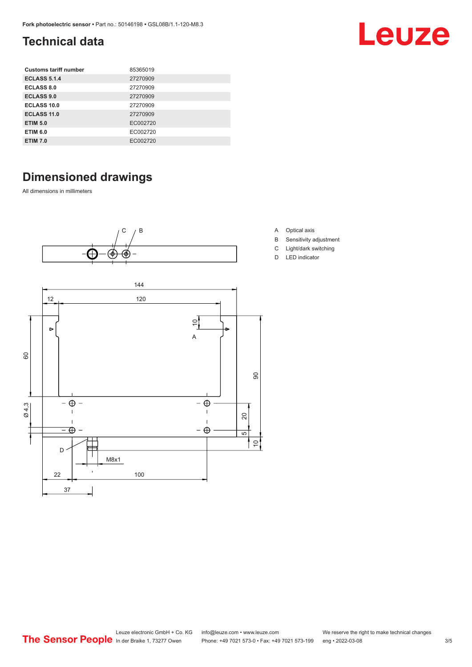## <span id="page-2-0"></span>**Technical data**

| <b>Customs tariff number</b> | 85365019 |
|------------------------------|----------|
| <b>ECLASS 5.1.4</b>          | 27270909 |
| ECLASS 8.0                   | 27270909 |
| <b>ECLASS 9.0</b>            | 27270909 |
| ECLASS 10.0                  | 27270909 |
| <b>ECLASS 11.0</b>           | 27270909 |
| <b>ETIM 5.0</b>              | EC002720 |
| <b>ETIM 6.0</b>              | EC002720 |
| <b>ETIM 7.0</b>              | EC002720 |

## **Dimensioned drawings**

All dimensions in millimeters





- A Optical axis
- B Sensitivity adjustment

Leuze

- C Light/dark switching
- D LED indicator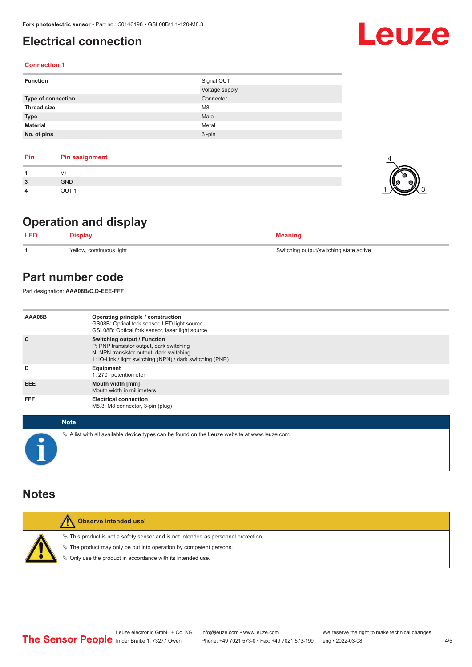## <span id="page-3-0"></span>**Electrical connection**

### **Connection 1**

| <b>Function</b>           | Signal OUT     |
|---------------------------|----------------|
|                           | Voltage supply |
| <b>Type of connection</b> | Connector      |
| <b>Thread size</b>        | M <sub>8</sub> |
| <b>Type</b>               | Male           |
| <b>Material</b>           | Metal          |
| No. of pins               | $3 - pin$      |

| Pin | <b>Pin assignment</b> |
|-----|-----------------------|
|     | V+                    |
| 3   | <b>GND</b>            |
| 4   | OUT <sub>1</sub>      |

## **Operation and display**

| <b>LED</b> | <b>Display</b>           | <b>Meaning</b>                          |
|------------|--------------------------|-----------------------------------------|
|            | Yellow, continuous light | Switching output/switching state active |

## **Part number code**

Part designation: **AAA08B/C.D-EEE-FFF**

| AAA08B     | Operating principle / construction<br>GS08B: Optical fork sensor, LED light source<br>GSL08B: Optical fork sensor, laser light source                                                   |
|------------|-----------------------------------------------------------------------------------------------------------------------------------------------------------------------------------------|
| C          | <b>Switching output / Function</b><br>P: PNP transistor output, dark switching<br>N: NPN transistor output, dark switching<br>1: IO-Link / light switching (NPN) / dark switching (PNP) |
| D          | Equipment<br>1: 270° potentiometer                                                                                                                                                      |
| <b>EEE</b> | Mouth width [mm]<br>Mouth width in millimeters                                                                                                                                          |
| <b>FFF</b> | <b>Electrical connection</b><br>M8.3: M8 connector, 3-pin (plug)                                                                                                                        |

| <b>Note</b>                                                                                       |
|---------------------------------------------------------------------------------------------------|
| Vector A list with all available device types can be found on the Leuze website at www.leuze.com. |

## **Notes**

|  | <b>Observe intended use!</b>                                                          |
|--|---------------------------------------------------------------------------------------|
|  | $\%$ This product is not a safety sensor and is not intended as personnel protection. |
|  | § The product may only be put into operation by competent persons.                    |
|  | ♦ Only use the product in accordance with its intended use.                           |
|  |                                                                                       |